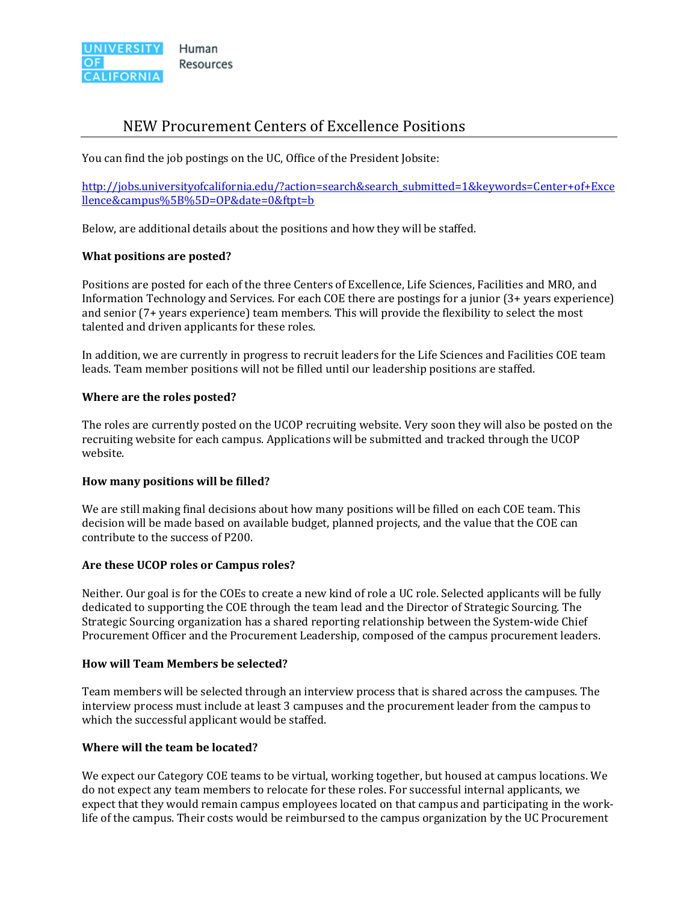

# NEW Procurement Centers of Excellence Positions

You can find the job postings on the UC, Office of the President Jobsite:

http://jobs.universityofcalifornia.edu/?action=search&search\_submitted=1&keywords=Center+of+Exce llence&campus%5B%5D=OP&date=0&ftpt=b

Below, are additional details about the positions and how they will be staffed.

# **What positions are posted?**

Positions are posted for each of the three Centers of Excellence, Life Sciences, Facilities and MRO, and Information Technology and Services. For each COE there are postings for a junior  $(3+)$  years experience) and senior (7+ years experience) team members. This will provide the flexibility to select the most talented and driven applicants for these roles.

In addition, we are currently in progress to recruit leaders for the Life Sciences and Facilities COE team leads. Team member positions will not be filled until our leadership positions are staffed.

# **Where are the roles posted?**

The roles are currently posted on the UCOP recruiting website. Very soon they will also be posted on the recruiting website for each campus. Applications will be submitted and tracked through the UCOP website. 

# **How many positions will be filled?**

We are still making final decisions about how many positions will be filled on each COE team. This decision will be made based on available budget, planned projects, and the value that the COE can contribute to the success of P200.

#### **Are these UCOP roles or Campus roles?**

Neither. Our goal is for the COEs to create a new kind of role a UC role. Selected applicants will be fully dedicated to supporting the COE through the team lead and the Director of Strategic Sourcing. The Strategic Sourcing organization has a shared reporting relationship between the System-wide Chief Procurement Officer and the Procurement Leadership, composed of the campus procurement leaders.

#### **How will Team Members be selected?**

Team members will be selected through an interview process that is shared across the campuses. The interview process must include at least 3 campuses and the procurement leader from the campus to which the successful applicant would be staffed.

### **Where will the team be located?**

We expect our Category COE teams to be virtual, working together, but housed at campus locations. We do not expect any team members to relocate for these roles. For successful internal applicants, we expect that they would remain campus employees located on that campus and participating in the worklife of the campus. Their costs would be reimbursed to the campus organization by the UC Procurement